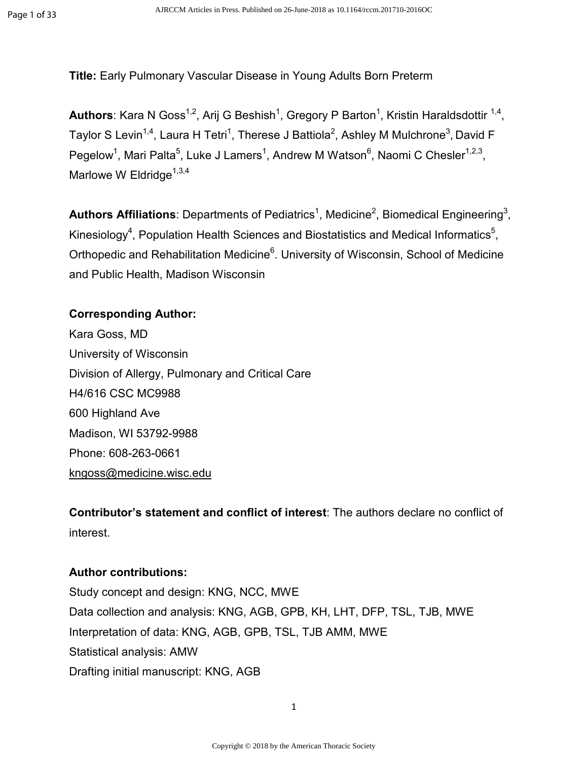**Title:** Early Pulmonary Vascular Disease in Young Adults Born Preterm

Authors: Kara N Goss<sup>1,2</sup>, Arij G Beshish<sup>1</sup>, Gregory P Barton<sup>1</sup>, Kristin Haraldsdottir <sup>1,4</sup>, Taylor S Levin $^{1,4}$ , Laura H Tetri $^1$ , Therese J Battiola $^2$ , Ashley M Mulchrone $^3$ , David F Pegelow<sup>1</sup>, Mari Palta<sup>5</sup>, Luke J Lamers<sup>1</sup>, Andrew M Watson<sup>6</sup>, Naomi C Chesler<sup>1,2,3</sup>, Marlowe W Eldridge<sup> $1,3,4$ </sup>

Authors Affiliations: Departments of Pediatrics<sup>1</sup>, Medicine<sup>2</sup>, Biomedical Engineering<sup>3</sup>, Kinesiology<sup>4</sup>, Population Health Sciences and Biostatistics and Medical Informatics<sup>5</sup>, Orthopedic and Rehabilitation Medicine<sup>6</sup>. University of Wisconsin, School of Medicine and Public Health, Madison Wisconsin

### **Corresponding Author:**

Kara Goss, MD University of Wisconsin Division of Allergy, Pulmonary and Critical Care H4/616 CSC MC9988 600 Highland Ave Madison, WI 53792-9988 Phone: 608-263-0661 kngoss@medicine.wisc.edu

**Contributor's statement and conflict of interest**: The authors declare no conflict of interest.

## **Author contributions:**

Study concept and design: KNG, NCC, MWE Data collection and analysis: KNG, AGB, GPB, KH, LHT, DFP, TSL, TJB, MWE Interpretation of data: KNG, AGB, GPB, TSL, TJB AMM, MWE Statistical analysis: AMW Drafting initial manuscript: KNG, AGB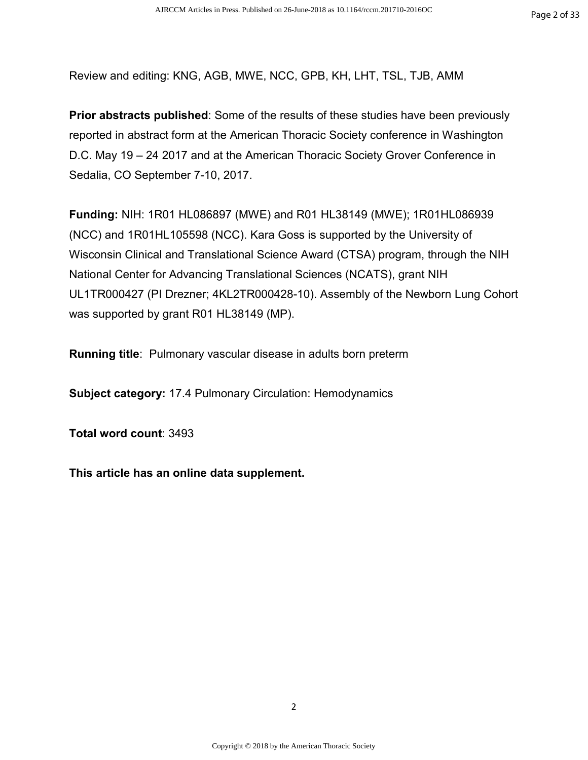Review and editing: KNG, AGB, MWE, NCC, GPB, KH, LHT, TSL, TJB, AMM

**Prior abstracts published**: Some of the results of these studies have been previously reported in abstract form at the American Thoracic Society conference in Washington D.C. May 19 – 24 2017 and at the American Thoracic Society Grover Conference in Sedalia, CO September 7-10, 2017.

**Funding:** NIH: 1R01 HL086897 (MWE) and R01 HL38149 (MWE); 1R01HL086939 (NCC) and 1R01HL105598 (NCC). Kara Goss is supported by the University of Wisconsin Clinical and Translational Science Award (CTSA) program, through the NIH National Center for Advancing Translational Sciences (NCATS), grant NIH UL1TR000427 (PI Drezner; 4KL2TR000428-10). Assembly of the Newborn Lung Cohort was supported by grant R01 HL38149 (MP).

**Running title**:Pulmonary vascular disease in adults born preterm

**Subject category:** 17.4 Pulmonary Circulation: Hemodynamics

**Total word count**: 3493

**This article has an online data supplement.**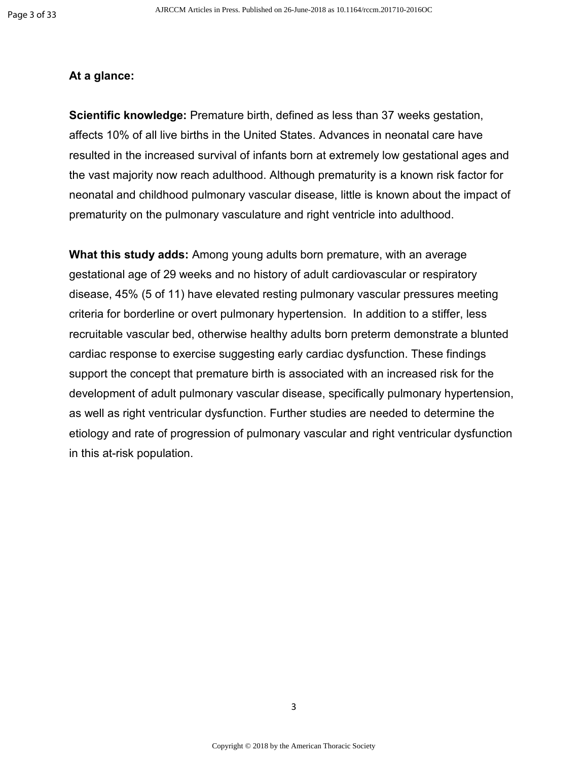#### **At a glance:**

**Scientific knowledge:** Premature birth, defined as less than 37 weeks gestation, affects 10% of all live births in the United States. Advances in neonatal care have resulted in the increased survival of infants born at extremely low gestational ages and the vast majority now reach adulthood. Although prematurity is a known risk factor for neonatal and childhood pulmonary vascular disease, little is known about the impact of prematurity on the pulmonary vasculature and right ventricle into adulthood.

**What this study adds:** Among young adults born premature, with an average gestational age of 29 weeks and no history of adult cardiovascular or respiratory disease, 45% (5 of 11) have elevated resting pulmonary vascular pressures meeting criteria for borderline or overt pulmonary hypertension. In addition to a stiffer, less recruitable vascular bed, otherwise healthy adults born preterm demonstrate a blunted cardiac response to exercise suggesting early cardiac dysfunction. These findings support the concept that premature birth is associated with an increased risk for the development of adult pulmonary vascular disease, specifically pulmonary hypertension, as well as right ventricular dysfunction. Further studies are needed to determine the etiology and rate of progression of pulmonary vascular and right ventricular dysfunction in this at-risk population.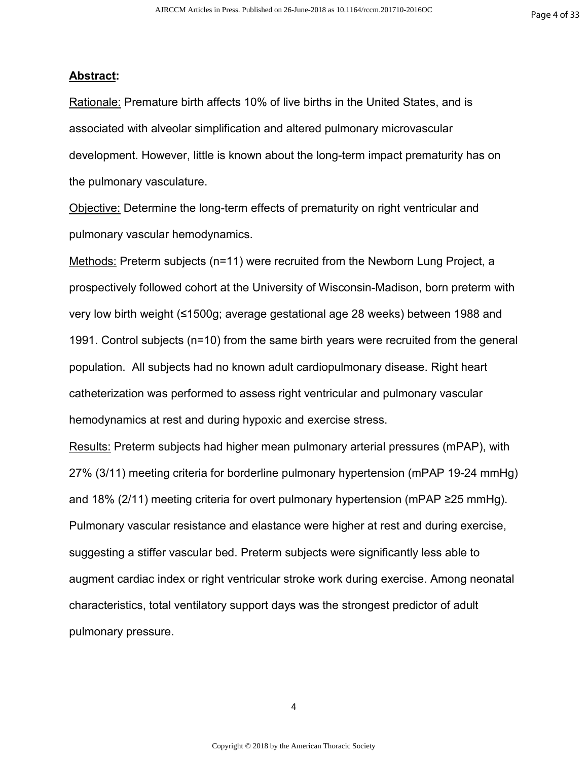#### **Abstract:**

Rationale: Premature birth affects 10% of live births in the United States, and is associated with alveolar simplification and altered pulmonary microvascular development. However, little is known about the long-term impact prematurity has on the pulmonary vasculature.

Objective: Determine the long-term effects of prematurity on right ventricular and pulmonary vascular hemodynamics.

Methods: Preterm subjects (n=11) were recruited from the Newborn Lung Project, a prospectively followed cohort at the University of Wisconsin-Madison, born preterm with very low birth weight (≤1500g; average gestational age 28 weeks) between 1988 and 1991. Control subjects (n=10) from the same birth years were recruited from the general population. All subjects had no known adult cardiopulmonary disease. Right heart catheterization was performed to assess right ventricular and pulmonary vascular hemodynamics at rest and during hypoxic and exercise stress.

Results: Preterm subjects had higher mean pulmonary arterial pressures (mPAP), with 27% (3/11) meeting criteria for borderline pulmonary hypertension (mPAP 19-24 mmHg) and 18% (2/11) meeting criteria for overt pulmonary hypertension (mPAP ≥25 mmHg). Pulmonary vascular resistance and elastance were higher at rest and during exercise, suggesting a stiffer vascular bed. Preterm subjects were significantly less able to augment cardiac index or right ventricular stroke work during exercise. Among neonatal characteristics, total ventilatory support days was the strongest predictor of adult pulmonary pressure.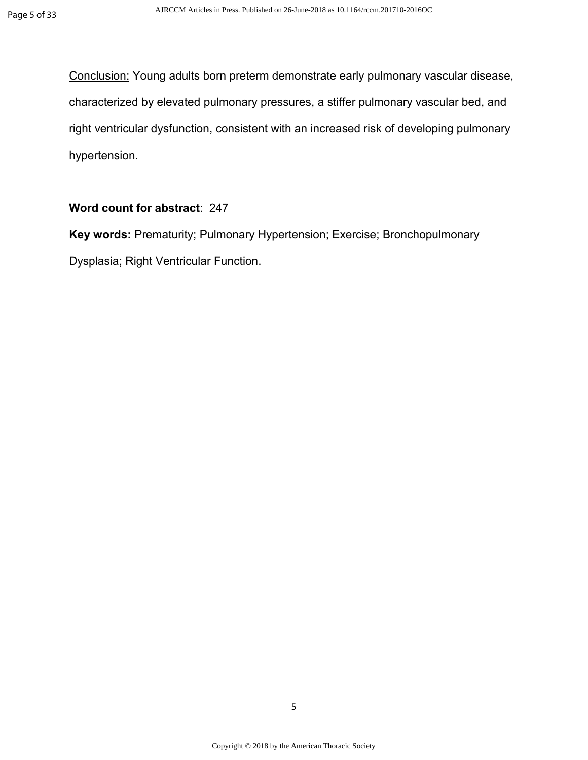Conclusion: Young adults born preterm demonstrate early pulmonary vascular disease, characterized by elevated pulmonary pressures, a stiffer pulmonary vascular bed, and right ventricular dysfunction, consistent with an increased risk of developing pulmonary hypertension.

### **Word count for abstract**: 247

**Key words:** Prematurity; Pulmonary Hypertension; Exercise; Bronchopulmonary Dysplasia; Right Ventricular Function.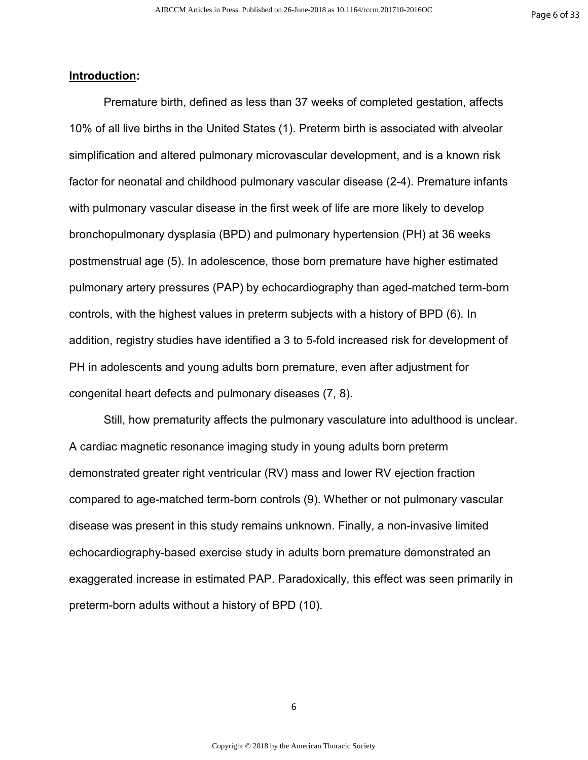#### **Introduction:**

Premature birth, defined as less than 37 weeks of completed gestation, affects 10% of all live births in the United States (1). Preterm birth is associated with alveolar simplification and altered pulmonary microvascular development, and is a known risk factor for neonatal and childhood pulmonary vascular disease (2-4). Premature infants with pulmonary vascular disease in the first week of life are more likely to develop bronchopulmonary dysplasia (BPD) and pulmonary hypertension (PH) at 36 weeks postmenstrual age (5). In adolescence, those born premature have higher estimated pulmonary artery pressures (PAP) by echocardiography than aged-matched term-born controls, with the highest values in preterm subjects with a history of BPD (6). In addition, registry studies have identified a 3 to 5-fold increased risk for development of PH in adolescents and young adults born premature, even after adjustment for congenital heart defects and pulmonary diseases (7, 8).

Still, how prematurity affects the pulmonary vasculature into adulthood is unclear. A cardiac magnetic resonance imaging study in young adults born preterm demonstrated greater right ventricular (RV) mass and lower RV ejection fraction compared to age-matched term-born controls (9). Whether or not pulmonary vascular disease was present in this study remains unknown. Finally, a non-invasive limited echocardiography-based exercise study in adults born premature demonstrated an exaggerated increase in estimated PAP. Paradoxically, this effect was seen primarily in preterm-born adults without a history of BPD (10).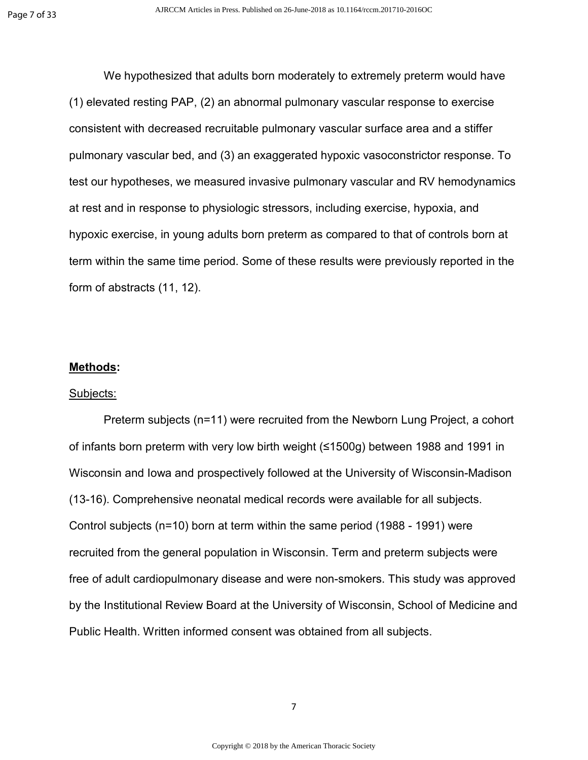We hypothesized that adults born moderately to extremely preterm would have (1) elevated resting PAP, (2) an abnormal pulmonary vascular response to exercise consistent with decreased recruitable pulmonary vascular surface area and a stiffer pulmonary vascular bed, and (3) an exaggerated hypoxic vasoconstrictor response. To test our hypotheses, we measured invasive pulmonary vascular and RV hemodynamics at rest and in response to physiologic stressors, including exercise, hypoxia, and hypoxic exercise, in young adults born preterm as compared to that of controls born at term within the same time period. Some of these results were previously reported in the form of abstracts (11, 12).

#### **Methods:**

#### Subjects:

Preterm subjects (n=11) were recruited from the Newborn Lung Project, a cohort of infants born preterm with very low birth weight (≤1500g) between 1988 and 1991 in Wisconsin and Iowa and prospectively followed at the University of Wisconsin-Madison (13-16). Comprehensive neonatal medical records were available for all subjects. Control subjects (n=10) born at term within the same period (1988 - 1991) were recruited from the general population in Wisconsin. Term and preterm subjects were free of adult cardiopulmonary disease and were non-smokers. This study was approved by the Institutional Review Board at the University of Wisconsin, School of Medicine and Public Health. Written informed consent was obtained from all subjects.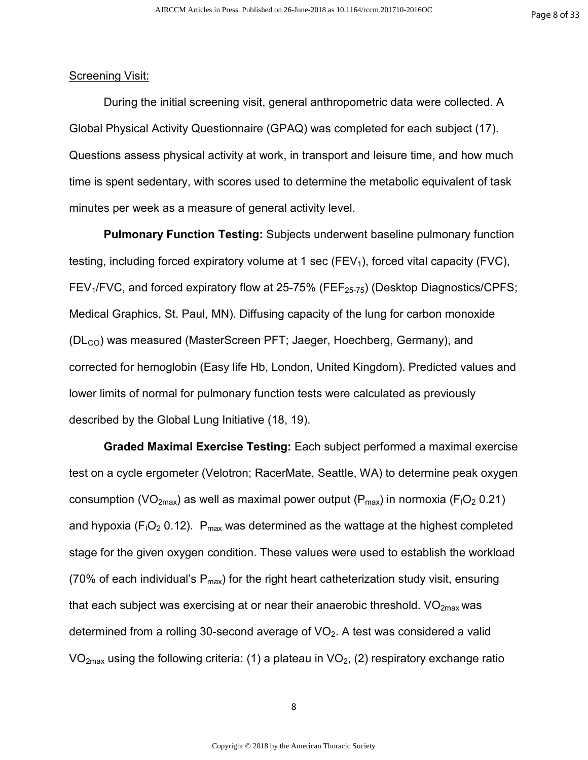#### Screening Visit:

During the initial screening visit, general anthropometric data were collected. A Global Physical Activity Questionnaire (GPAQ) was completed for each subject (17). Questions assess physical activity at work, in transport and leisure time, and how much time is spent sedentary, with scores used to determine the metabolic equivalent of task minutes per week as a measure of general activity level.

**Pulmonary Function Testing:** Subjects underwent baseline pulmonary function testing, including forced expiratory volume at 1 sec ( $FEV<sub>1</sub>$ ), forced vital capacity ( $FVC$ ), FEV<sub>1</sub>/FVC, and forced expiratory flow at 25-75% (FEF<sub>25-75</sub>) (Desktop Diagnostics/CPFS; Medical Graphics, St. Paul, MN). Diffusing capacity of the lung for carbon monoxide  $(DL<sub>CO</sub>)$  was measured (MasterScreen PFT; Jaeger, Hoechberg, Germany), and corrected for hemoglobin (Easy life Hb, London, United Kingdom). Predicted values and lower limits of normal for pulmonary function tests were calculated as previously described by the Global Lung Initiative (18, 19).

**Graded Maximal Exercise Testing:** Each subject performed a maximal exercise test on a cycle ergometer (Velotron; RacerMate, Seattle, WA) to determine peak oxygen consumption (VO<sub>2max</sub>) as well as maximal power output ( $P_{max}$ ) in normoxia ( $F_1O_2$  0.21) and hypoxia ( $F_1O_2$  0.12). P<sub>max</sub> was determined as the wattage at the highest completed stage for the given oxygen condition. These values were used to establish the workload (70% of each individual's  $P_{max}$ ) for the right heart catheterization study visit, ensuring that each subject was exercising at or near their anaerobic threshold.  $VO<sub>2max</sub>$  was determined from a rolling 30-second average of  $VO<sub>2</sub>$ . A test was considered a valid  $VO<sub>2max</sub>$  using the following criteria: (1) a plateau in  $VO<sub>2</sub>$ , (2) respiratory exchange ratio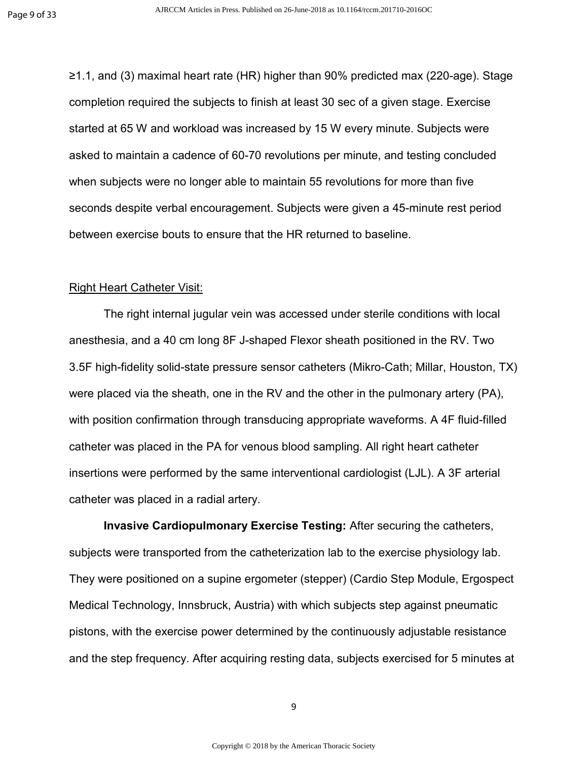≥1.1, and (3) maximal heart rate (HR) higher than 90% predicted max (220-age). Stage completion required the subjects to finish at least 30 sec of a given stage. Exercise started at 65 W and workload was increased by 15 W every minute. Subjects were asked to maintain a cadence of 60-70 revolutions per minute, and testing concluded when subjects were no longer able to maintain 55 revolutions for more than five seconds despite verbal encouragement. Subjects were given a 45-minute rest period between exercise bouts to ensure that the HR returned to baseline.

#### Right Heart Catheter Visit:

The right internal jugular vein was accessed under sterile conditions with local anesthesia, and a 40 cm long 8F J-shaped Flexor sheath positioned in the RV. Two 3.5F high-fidelity solid-state pressure sensor catheters (Mikro-Cath; Millar, Houston, TX) were placed via the sheath, one in the RV and the other in the pulmonary artery (PA), with position confirmation through transducing appropriate waveforms. A 4F fluid-filled catheter was placed in the PA for venous blood sampling. All right heart catheter insertions were performed by the same interventional cardiologist (LJL). A 3F arterial catheter was placed in a radial artery.

**Invasive Cardiopulmonary Exercise Testing:** After securing the catheters, subjects were transported from the catheterization lab to the exercise physiology lab. They were positioned on a supine ergometer (stepper) (Cardio Step Module, Ergospect Medical Technology, Innsbruck, Austria) with which subjects step against pneumatic pistons, with the exercise power determined by the continuously adjustable resistance and the step frequency. After acquiring resting data, subjects exercised for 5 minutes at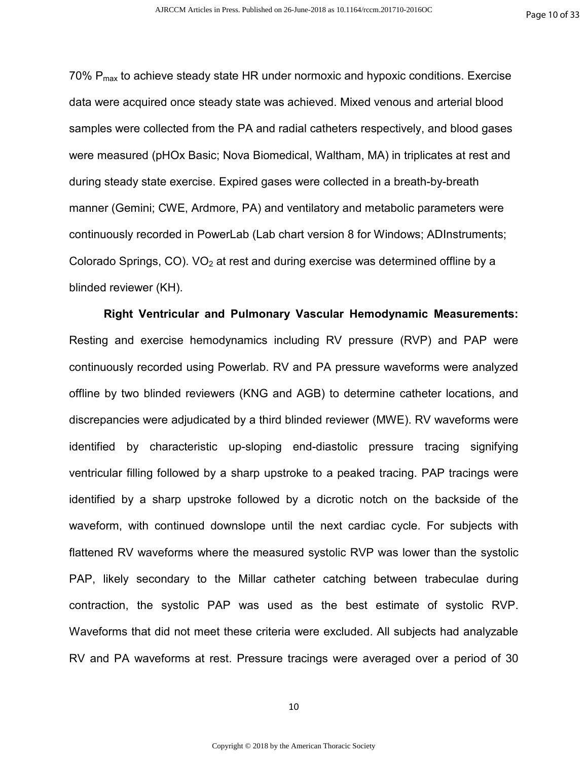70%  $P_{\text{max}}$  to achieve steady state HR under normoxic and hypoxic conditions. Exercise data were acquired once steady state was achieved. Mixed venous and arterial blood samples were collected from the PA and radial catheters respectively, and blood gases were measured (pHOx Basic; Nova Biomedical, Waltham, MA) in triplicates at rest and during steady state exercise. Expired gases were collected in a breath-by-breath manner (Gemini; CWE, Ardmore, PA) and ventilatory and metabolic parameters were continuously recorded in PowerLab (Lab chart version 8 for Windows; ADInstruments; Colorado Springs, CO).  $VO<sub>2</sub>$  at rest and during exercise was determined offline by a blinded reviewer (KH).

**Right Ventricular and Pulmonary Vascular Hemodynamic Measurements:**  Resting and exercise hemodynamics including RV pressure (RVP) and PAP were continuously recorded using Powerlab. RV and PA pressure waveforms were analyzed offline by two blinded reviewers (KNG and AGB) to determine catheter locations, and discrepancies were adjudicated by a third blinded reviewer (MWE). RV waveforms were identified by characteristic up-sloping end-diastolic pressure tracing signifying ventricular filling followed by a sharp upstroke to a peaked tracing. PAP tracings were identified by a sharp upstroke followed by a dicrotic notch on the backside of the waveform, with continued downslope until the next cardiac cycle. For subjects with flattened RV waveforms where the measured systolic RVP was lower than the systolic PAP, likely secondary to the Millar catheter catching between trabeculae during contraction, the systolic PAP was used as the best estimate of systolic RVP. Waveforms that did not meet these criteria were excluded. All subjects had analyzable RV and PA waveforms at rest. Pressure tracings were averaged over a period of 30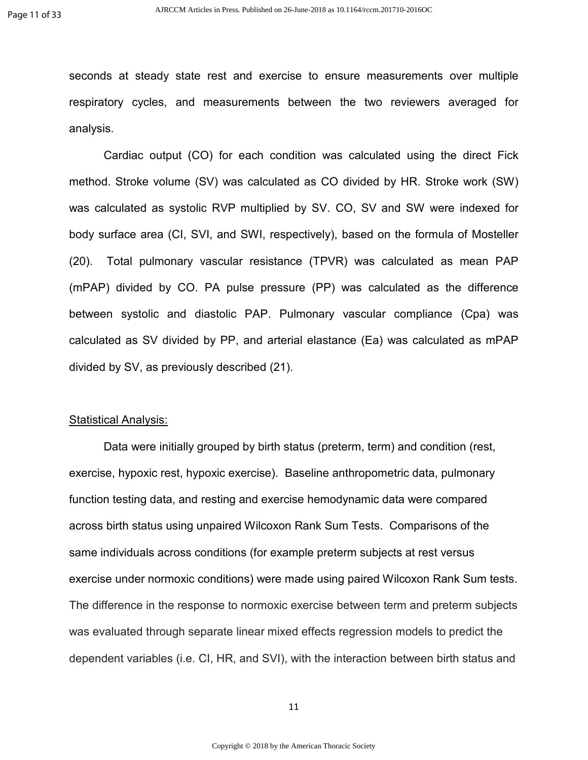seconds at steady state rest and exercise to ensure measurements over multiple respiratory cycles, and measurements between the two reviewers averaged for analysis.

Cardiac output (CO) for each condition was calculated using the direct Fick method. Stroke volume (SV) was calculated as CO divided by HR. Stroke work (SW) was calculated as systolic RVP multiplied by SV. CO, SV and SW were indexed for body surface area (CI, SVI, and SWI, respectively), based on the formula of Mosteller (20). Total pulmonary vascular resistance (TPVR) was calculated as mean PAP (mPAP) divided by CO. PA pulse pressure (PP) was calculated as the difference between systolic and diastolic PAP. Pulmonary vascular compliance (Cpa) was calculated as SV divided by PP, and arterial elastance (Ea) was calculated as mPAP divided by SV, as previously described (21).

#### **Statistical Analysis:**

Data were initially grouped by birth status (preterm, term) and condition (rest, exercise, hypoxic rest, hypoxic exercise). Baseline anthropometric data, pulmonary function testing data, and resting and exercise hemodynamic data were compared across birth status using unpaired Wilcoxon Rank Sum Tests. Comparisons of the same individuals across conditions (for example preterm subjects at rest versus exercise under normoxic conditions) were made using paired Wilcoxon Rank Sum tests. The difference in the response to normoxic exercise between term and preterm subjects was evaluated through separate linear mixed effects regression models to predict the dependent variables (i.e. CI, HR, and SVI), with the interaction between birth status and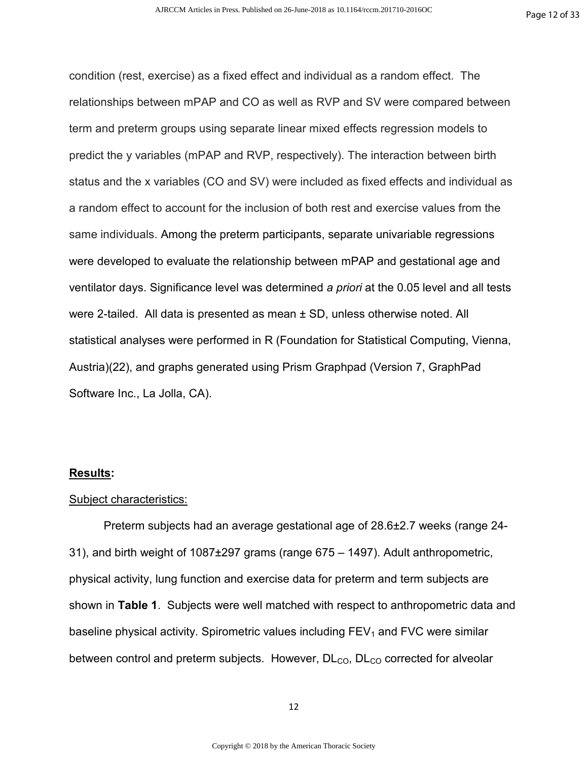condition (rest, exercise) as a fixed effect and individual as a random effect. The relationships between mPAP and CO as well as RVP and SV were compared between term and preterm groups using separate linear mixed effects regression models to predict the y variables (mPAP and RVP, respectively). The interaction between birth status and the x variables (CO and SV) were included as fixed effects and individual as a random effect to account for the inclusion of both rest and exercise values from the same individuals. Among the preterm participants, separate univariable regressions were developed to evaluate the relationship between mPAP and gestational age and ventilator days. Significance level was determined *a priori* at the 0.05 level and all tests were 2-tailed. All data is presented as mean ± SD, unless otherwise noted. All statistical analyses were performed in R (Foundation for Statistical Computing, Vienna, Austria)(22), and graphs generated using Prism Graphpad (Version 7, GraphPad Software Inc., La Jolla, CA).

#### **Results:**

#### Subject characteristics:

Preterm subjects had an average gestational age of 28.6±2.7 weeks (range 24- 31), and birth weight of 1087±297 grams (range 675 – 1497). Adult anthropometric, physical activity, lung function and exercise data for preterm and term subjects are shown in **Table 1**. Subjects were well matched with respect to anthropometric data and baseline physical activity. Spirometric values including  $FEV<sub>1</sub>$  and FVC were similar between control and preterm subjects. However,  $DL<sub>CO</sub>$ ,  $DL<sub>CO</sub>$  corrected for alveolar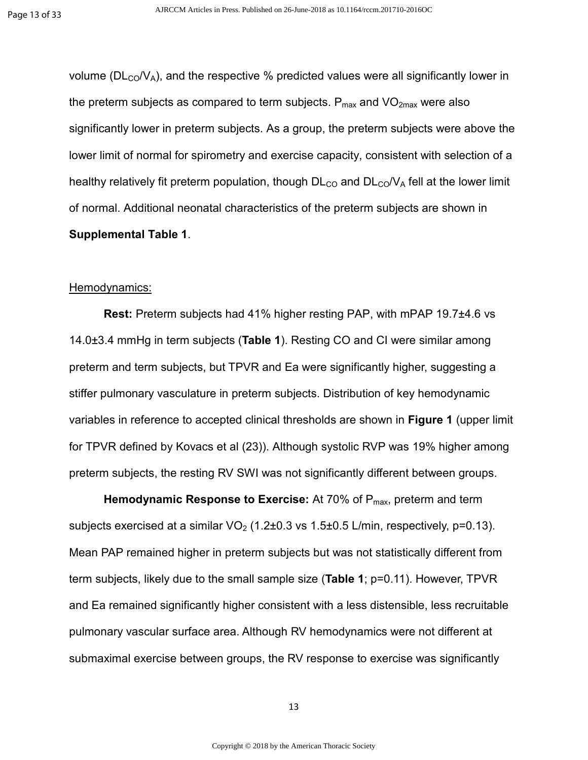volume ( $DL<sub>CO</sub>/V<sub>A</sub>$ ), and the respective % predicted values were all significantly lower in the preterm subjects as compared to term subjects.  $P_{max}$  and  $VO_{2max}$  were also significantly lower in preterm subjects. As a group, the preterm subjects were above the lower limit of normal for spirometry and exercise capacity, consistent with selection of a healthy relatively fit preterm population, though  $DL_{CO}$  and  $DL_{CO}/V_A$  fell at the lower limit of normal. Additional neonatal characteristics of the preterm subjects are shown in **Supplemental Table 1**.

#### Hemodynamics:

**Rest:** Preterm subjects had 41% higher resting PAP, with mPAP 19.7±4.6 vs 14.0±3.4 mmHg in term subjects (**Table 1**). Resting CO and CI were similar among preterm and term subjects, but TPVR and Ea were significantly higher, suggesting a stiffer pulmonary vasculature in preterm subjects. Distribution of key hemodynamic variables in reference to accepted clinical thresholds are shown in **Figure 1** (upper limit for TPVR defined by Kovacs et al (23)). Although systolic RVP was 19% higher among preterm subjects, the resting RV SWI was not significantly different between groups.

**Hemodynamic Response to Exercise:** At 70% of P<sub>max</sub>, preterm and term subjects exercised at a similar  $VO<sub>2</sub>$  (1.2±0.3 vs 1.5±0.5 L/min, respectively, p=0.13). Mean PAP remained higher in preterm subjects but was not statistically different from term subjects, likely due to the small sample size (**Table 1**; p=0.11). However, TPVR and Ea remained significantly higher consistent with a less distensible, less recruitable pulmonary vascular surface area. Although RV hemodynamics were not different at submaximal exercise between groups, the RV response to exercise was significantly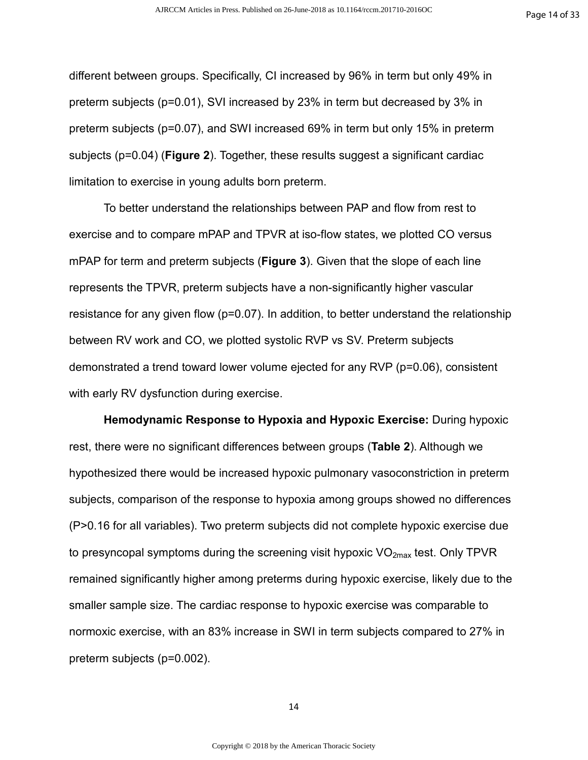different between groups. Specifically, CI increased by 96% in term but only 49% in preterm subjects (p=0.01), SVI increased by 23% in term but decreased by 3% in preterm subjects (p=0.07), and SWI increased 69% in term but only 15% in preterm subjects (p=0.04) (**Figure 2**). Together, these results suggest a significant cardiac limitation to exercise in young adults born preterm.

To better understand the relationships between PAP and flow from rest to exercise and to compare mPAP and TPVR at iso-flow states, we plotted CO versus mPAP for term and preterm subjects (**Figure 3**). Given that the slope of each line represents the TPVR, preterm subjects have a non-significantly higher vascular resistance for any given flow (p=0.07). In addition, to better understand the relationship between RV work and CO, we plotted systolic RVP vs SV. Preterm subjects demonstrated a trend toward lower volume ejected for any RVP (p=0.06), consistent with early RV dysfunction during exercise.

**Hemodynamic Response to Hypoxia and Hypoxic Exercise:** During hypoxic rest, there were no significant differences between groups (**Table 2**). Although we hypothesized there would be increased hypoxic pulmonary vasoconstriction in preterm subjects, comparison of the response to hypoxia among groups showed no differences (P>0.16 for all variables). Two preterm subjects did not complete hypoxic exercise due to presyncopal symptoms during the screening visit hypoxic  $VO<sub>2max</sub>$  test. Only TPVR remained significantly higher among preterms during hypoxic exercise, likely due to the smaller sample size. The cardiac response to hypoxic exercise was comparable to normoxic exercise, with an 83% increase in SWI in term subjects compared to 27% in preterm subjects (p=0.002).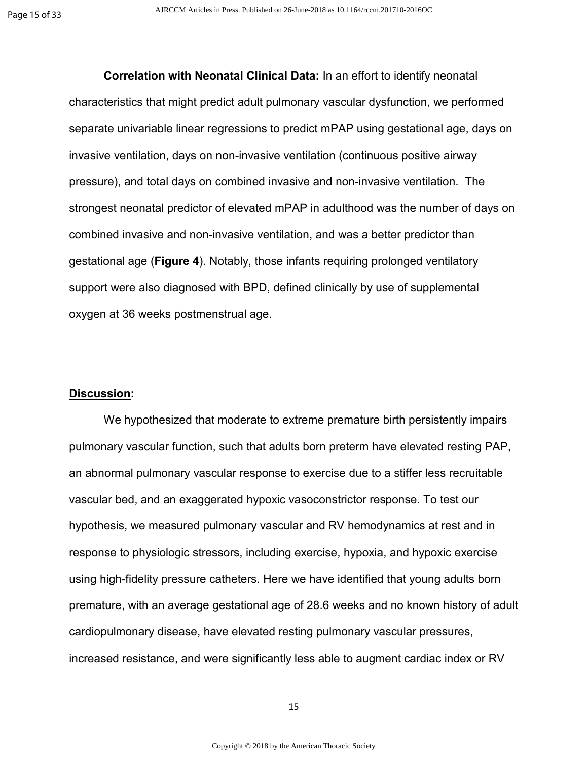**Correlation with Neonatal Clinical Data:** In an effort to identify neonatal characteristics that might predict adult pulmonary vascular dysfunction, we performed separate univariable linear regressions to predict mPAP using gestational age, days on invasive ventilation, days on non-invasive ventilation (continuous positive airway pressure), and total days on combined invasive and non-invasive ventilation. The strongest neonatal predictor of elevated mPAP in adulthood was the number of days on combined invasive and non-invasive ventilation, and was a better predictor than gestational age (**Figure 4**). Notably, those infants requiring prolonged ventilatory support were also diagnosed with BPD, defined clinically by use of supplemental oxygen at 36 weeks postmenstrual age.

#### **Discussion:**

We hypothesized that moderate to extreme premature birth persistently impairs pulmonary vascular function, such that adults born preterm have elevated resting PAP, an abnormal pulmonary vascular response to exercise due to a stiffer less recruitable vascular bed, and an exaggerated hypoxic vasoconstrictor response. To test our hypothesis, we measured pulmonary vascular and RV hemodynamics at rest and in response to physiologic stressors, including exercise, hypoxia, and hypoxic exercise using high-fidelity pressure catheters. Here we have identified that young adults born premature, with an average gestational age of 28.6 weeks and no known history of adult cardiopulmonary disease, have elevated resting pulmonary vascular pressures, increased resistance, and were significantly less able to augment cardiac index or RV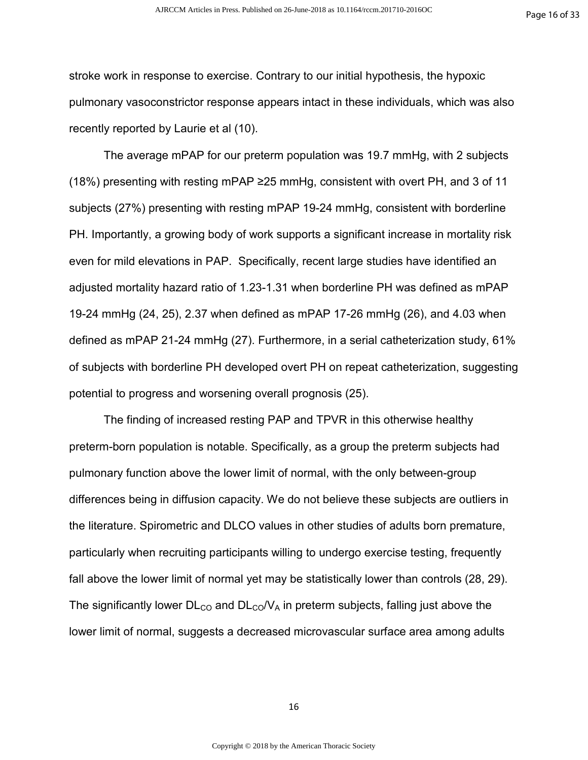stroke work in response to exercise. Contrary to our initial hypothesis, the hypoxic pulmonary vasoconstrictor response appears intact in these individuals, which was also recently reported by Laurie et al (10).

The average mPAP for our preterm population was 19.7 mmHg, with 2 subjects (18%) presenting with resting mPAP ≥25 mmHg, consistent with overt PH, and 3 of 11 subjects (27%) presenting with resting mPAP 19-24 mmHg, consistent with borderline PH. Importantly, a growing body of work supports a significant increase in mortality risk even for mild elevations in PAP. Specifically, recent large studies have identified an adjusted mortality hazard ratio of 1.23-1.31 when borderline PH was defined as mPAP 19-24 mmHg (24, 25), 2.37 when defined as mPAP 17-26 mmHg (26), and 4.03 when defined as mPAP 21-24 mmHg (27). Furthermore, in a serial catheterization study, 61% of subjects with borderline PH developed overt PH on repeat catheterization, suggesting potential to progress and worsening overall prognosis (25).

The finding of increased resting PAP and TPVR in this otherwise healthy preterm-born population is notable. Specifically, as a group the preterm subjects had pulmonary function above the lower limit of normal, with the only between-group differences being in diffusion capacity. We do not believe these subjects are outliers in the literature. Spirometric and DLCO values in other studies of adults born premature, particularly when recruiting participants willing to undergo exercise testing, frequently fall above the lower limit of normal yet may be statistically lower than controls (28, 29). The significantly lower  $DL_{CO}$  and  $DL_{CO}/V_A$  in preterm subjects, falling just above the lower limit of normal, suggests a decreased microvascular surface area among adults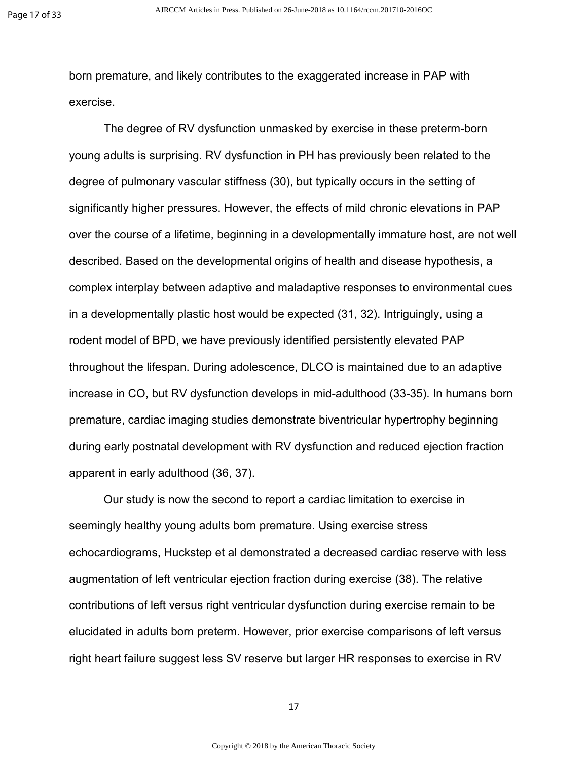born premature, and likely contributes to the exaggerated increase in PAP with exercise.

The degree of RV dysfunction unmasked by exercise in these preterm-born young adults is surprising. RV dysfunction in PH has previously been related to the degree of pulmonary vascular stiffness (30), but typically occurs in the setting of significantly higher pressures. However, the effects of mild chronic elevations in PAP over the course of a lifetime, beginning in a developmentally immature host, are not well described. Based on the developmental origins of health and disease hypothesis, a complex interplay between adaptive and maladaptive responses to environmental cues in a developmentally plastic host would be expected (31, 32). Intriguingly, using a rodent model of BPD, we have previously identified persistently elevated PAP throughout the lifespan. During adolescence, DLCO is maintained due to an adaptive increase in CO, but RV dysfunction develops in mid-adulthood (33-35). In humans born premature, cardiac imaging studies demonstrate biventricular hypertrophy beginning during early postnatal development with RV dysfunction and reduced ejection fraction apparent in early adulthood (36, 37).

Our study is now the second to report a cardiac limitation to exercise in seemingly healthy young adults born premature. Using exercise stress echocardiograms, Huckstep et al demonstrated a decreased cardiac reserve with less augmentation of left ventricular ejection fraction during exercise (38). The relative contributions of left versus right ventricular dysfunction during exercise remain to be elucidated in adults born preterm. However, prior exercise comparisons of left versus right heart failure suggest less SV reserve but larger HR responses to exercise in RV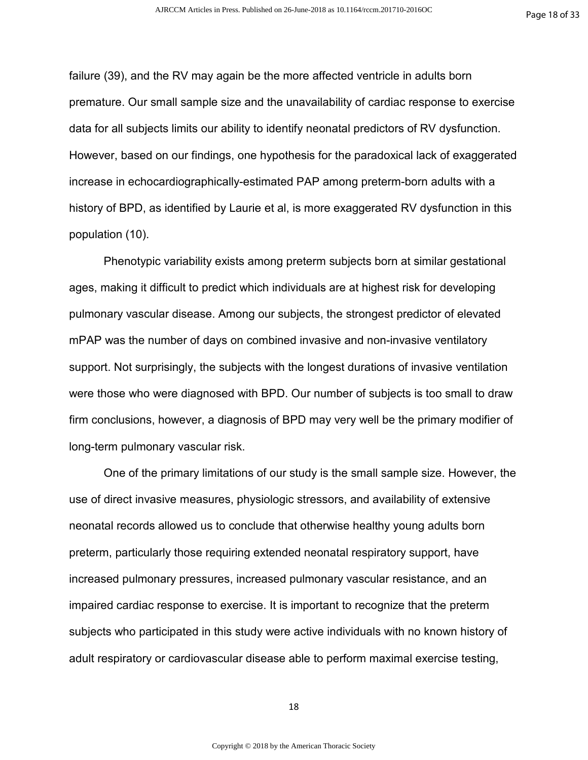failure (39), and the RV may again be the more affected ventricle in adults born premature. Our small sample size and the unavailability of cardiac response to exercise data for all subjects limits our ability to identify neonatal predictors of RV dysfunction. However, based on our findings, one hypothesis for the paradoxical lack of exaggerated increase in echocardiographically-estimated PAP among preterm-born adults with a history of BPD, as identified by Laurie et al, is more exaggerated RV dysfunction in this population (10).

Phenotypic variability exists among preterm subjects born at similar gestational ages, making it difficult to predict which individuals are at highest risk for developing pulmonary vascular disease. Among our subjects, the strongest predictor of elevated mPAP was the number of days on combined invasive and non-invasive ventilatory support. Not surprisingly, the subjects with the longest durations of invasive ventilation were those who were diagnosed with BPD. Our number of subjects is too small to draw firm conclusions, however, a diagnosis of BPD may very well be the primary modifier of long-term pulmonary vascular risk.

 One of the primary limitations of our study is the small sample size. However, the use of direct invasive measures, physiologic stressors, and availability of extensive neonatal records allowed us to conclude that otherwise healthy young adults born preterm, particularly those requiring extended neonatal respiratory support, have increased pulmonary pressures, increased pulmonary vascular resistance, and an impaired cardiac response to exercise. It is important to recognize that the preterm subjects who participated in this study were active individuals with no known history of adult respiratory or cardiovascular disease able to perform maximal exercise testing,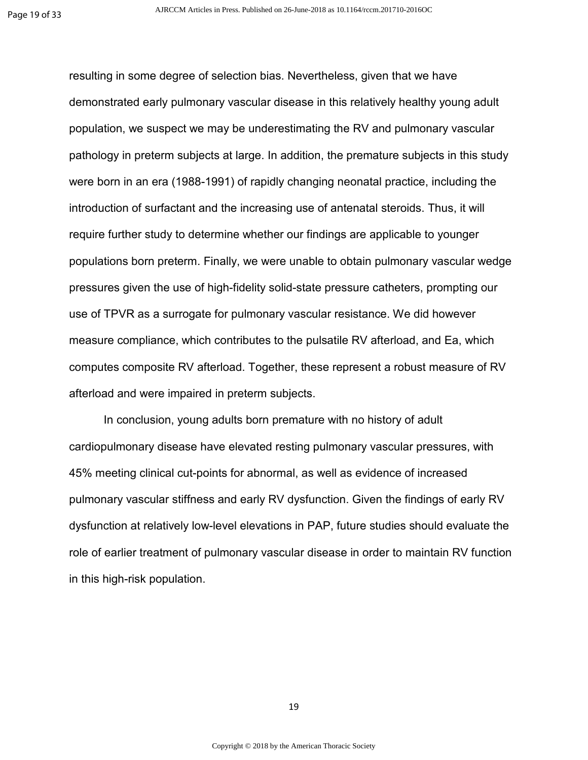resulting in some degree of selection bias. Nevertheless, given that we have demonstrated early pulmonary vascular disease in this relatively healthy young adult population, we suspect we may be underestimating the RV and pulmonary vascular pathology in preterm subjects at large. In addition, the premature subjects in this study were born in an era (1988-1991) of rapidly changing neonatal practice, including the introduction of surfactant and the increasing use of antenatal steroids. Thus, it will require further study to determine whether our findings are applicable to younger populations born preterm. Finally, we were unable to obtain pulmonary vascular wedge pressures given the use of high-fidelity solid-state pressure catheters, prompting our use of TPVR as a surrogate for pulmonary vascular resistance. We did however measure compliance, which contributes to the pulsatile RV afterload, and Ea, which computes composite RV afterload. Together, these represent a robust measure of RV afterload and were impaired in preterm subjects.

In conclusion, young adults born premature with no history of adult cardiopulmonary disease have elevated resting pulmonary vascular pressures, with 45% meeting clinical cut-points for abnormal, as well as evidence of increased pulmonary vascular stiffness and early RV dysfunction. Given the findings of early RV dysfunction at relatively low-level elevations in PAP, future studies should evaluate the role of earlier treatment of pulmonary vascular disease in order to maintain RV function in this high-risk population.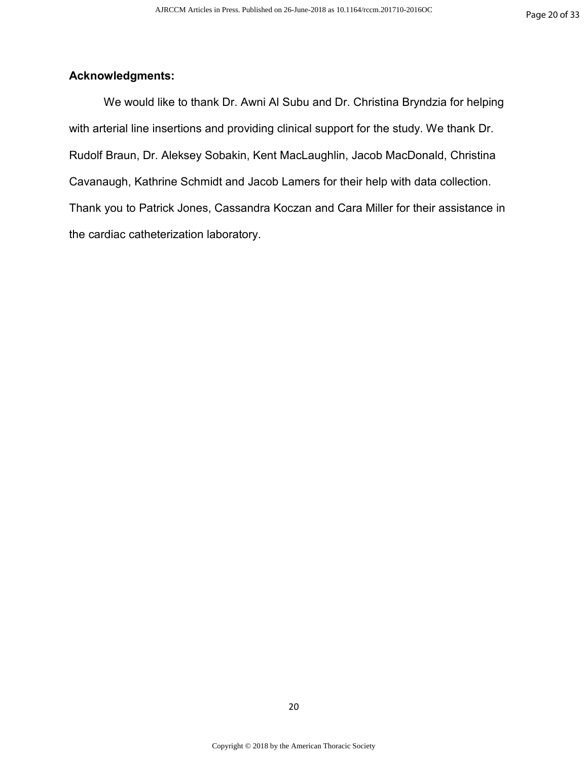# **Acknowledgments:**

We would like to thank Dr. Awni Al Subu and Dr. Christina Bryndzia for helping with arterial line insertions and providing clinical support for the study. We thank Dr. Rudolf Braun, Dr. Aleksey Sobakin, Kent MacLaughlin, Jacob MacDonald, Christina Cavanaugh, Kathrine Schmidt and Jacob Lamers for their help with data collection. Thank you to Patrick Jones, Cassandra Koczan and Cara Miller for their assistance in the cardiac catheterization laboratory.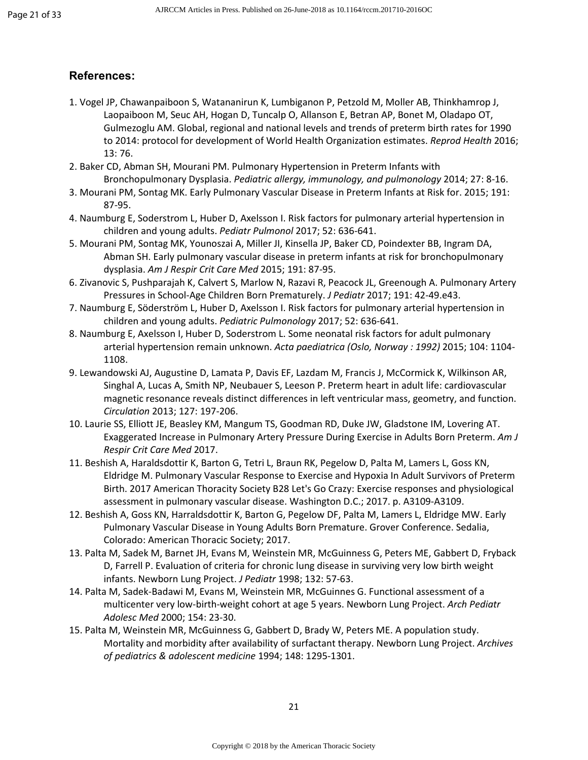#### **References:**

- 1. Vogel JP, Chawanpaiboon S, Watananirun K, Lumbiganon P, Petzold M, Moller AB, Thinkhamrop J, Laopaiboon M, Seuc AH, Hogan D, Tuncalp O, Allanson E, Betran AP, Bonet M, Oladapo OT, Gulmezoglu AM. Global, regional and national levels and trends of preterm birth rates for 1990 to 2014: protocol for development of World Health Organization estimates. *Reprod Health* 2016; 13: 76.
- 2. Baker CD, Abman SH, Mourani PM. Pulmonary Hypertension in Preterm Infants with Bronchopulmonary Dysplasia. *Pediatric allergy, immunology, and pulmonology* 2014; 27: 8-16.
- 3. Mourani PM, Sontag MK. Early Pulmonary Vascular Disease in Preterm Infants at Risk for. 2015; 191: 87-95.
- 4. Naumburg E, Soderstrom L, Huber D, Axelsson I. Risk factors for pulmonary arterial hypertension in children and young adults. *Pediatr Pulmonol* 2017; 52: 636-641.
- 5. Mourani PM, Sontag MK, Younoszai A, Miller JI, Kinsella JP, Baker CD, Poindexter BB, Ingram DA, Abman SH. Early pulmonary vascular disease in preterm infants at risk for bronchopulmonary dysplasia. *Am J Respir Crit Care Med* 2015; 191: 87-95.
- 6. Zivanovic S, Pushparajah K, Calvert S, Marlow N, Razavi R, Peacock JL, Greenough A. Pulmonary Artery Pressures in School-Age Children Born Prematurely. *J Pediatr* 2017; 191: 42-49.e43.
- 7. Naumburg E, Söderström L, Huber D, Axelsson I. Risk factors for pulmonary arterial hypertension in children and young adults. *Pediatric Pulmonology* 2017; 52: 636-641.
- 8. Naumburg E, Axelsson I, Huber D, Soderstrom L. Some neonatal risk factors for adult pulmonary arterial hypertension remain unknown. *Acta paediatrica (Oslo, Norway : 1992)* 2015; 104: 1104- 1108.
- 9. Lewandowski AJ, Augustine D, Lamata P, Davis EF, Lazdam M, Francis J, McCormick K, Wilkinson AR, Singhal A, Lucas A, Smith NP, Neubauer S, Leeson P. Preterm heart in adult life: cardiovascular magnetic resonance reveals distinct differences in left ventricular mass, geometry, and function. *Circulation* 2013; 127: 197-206.
- 10. Laurie SS, Elliott JE, Beasley KM, Mangum TS, Goodman RD, Duke JW, Gladstone IM, Lovering AT. Exaggerated Increase in Pulmonary Artery Pressure During Exercise in Adults Born Preterm. *Am J Respir Crit Care Med* 2017.
- 11. Beshish A, Haraldsdottir K, Barton G, Tetri L, Braun RK, Pegelow D, Palta M, Lamers L, Goss KN, Eldridge M. Pulmonary Vascular Response to Exercise and Hypoxia In Adult Survivors of Preterm Birth. 2017 American Thoracity Society B28 Let's Go Crazy: Exercise responses and physiological assessment in pulmonary vascular disease. Washington D.C.; 2017. p. A3109-A3109.
- 12. Beshish A, Goss KN, Harraldsdottir K, Barton G, Pegelow DF, Palta M, Lamers L, Eldridge MW. Early Pulmonary Vascular Disease in Young Adults Born Premature. Grover Conference. Sedalia, Colorado: American Thoracic Society; 2017.
- 13. Palta M, Sadek M, Barnet JH, Evans M, Weinstein MR, McGuinness G, Peters ME, Gabbert D, Fryback D, Farrell P. Evaluation of criteria for chronic lung disease in surviving very low birth weight infants. Newborn Lung Project. *J Pediatr* 1998; 132: 57-63.
- 14. Palta M, Sadek-Badawi M, Evans M, Weinstein MR, McGuinnes G. Functional assessment of a multicenter very low-birth-weight cohort at age 5 years. Newborn Lung Project. *Arch Pediatr Adolesc Med* 2000; 154: 23-30.
- 15. Palta M, Weinstein MR, McGuinness G, Gabbert D, Brady W, Peters ME. A population study. Mortality and morbidity after availability of surfactant therapy. Newborn Lung Project. *Archives of pediatrics & adolescent medicine* 1994; 148: 1295-1301.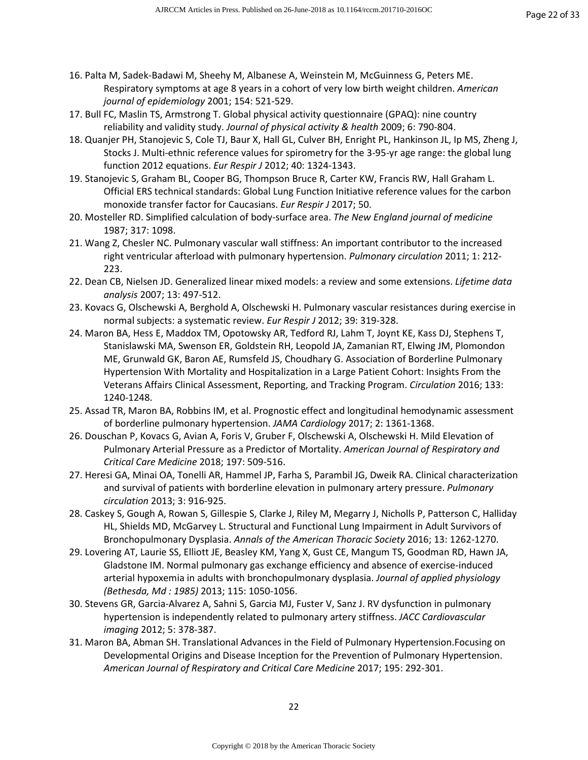- 16. Palta M, Sadek-Badawi M, Sheehy M, Albanese A, Weinstein M, McGuinness G, Peters ME. Respiratory symptoms at age 8 years in a cohort of very low birth weight children. *American journal of epidemiology* 2001; 154: 521-529.
- 17. Bull FC, Maslin TS, Armstrong T. Global physical activity questionnaire (GPAQ): nine country reliability and validity study. *Journal of physical activity & health* 2009; 6: 790-804.
- 18. Quanjer PH, Stanojevic S, Cole TJ, Baur X, Hall GL, Culver BH, Enright PL, Hankinson JL, Ip MS, Zheng J, Stocks J. Multi-ethnic reference values for spirometry for the 3-95-yr age range: the global lung function 2012 equations. *Eur Respir J* 2012; 40: 1324-1343.
- 19. Stanojevic S, Graham BL, Cooper BG, Thompson Bruce R, Carter KW, Francis RW, Hall Graham L. Official ERS technical standards: Global Lung Function Initiative reference values for the carbon monoxide transfer factor for Caucasians. *Eur Respir J* 2017; 50.
- 20. Mosteller RD. Simplified calculation of body-surface area. *The New England journal of medicine*  1987; 317: 1098.
- 21. Wang Z, Chesler NC. Pulmonary vascular wall stiffness: An important contributor to the increased right ventricular afterload with pulmonary hypertension. *Pulmonary circulation* 2011; 1: 212- 223.
- 22. Dean CB, Nielsen JD. Generalized linear mixed models: a review and some extensions. *Lifetime data analysis* 2007; 13: 497-512.
- 23. Kovacs G, Olschewski A, Berghold A, Olschewski H. Pulmonary vascular resistances during exercise in normal subjects: a systematic review. *Eur Respir J* 2012; 39: 319-328.
- 24. Maron BA, Hess E, Maddox TM, Opotowsky AR, Tedford RJ, Lahm T, Joynt KE, Kass DJ, Stephens T, Stanislawski MA, Swenson ER, Goldstein RH, Leopold JA, Zamanian RT, Elwing JM, Plomondon ME, Grunwald GK, Baron AE, Rumsfeld JS, Choudhary G. Association of Borderline Pulmonary Hypertension With Mortality and Hospitalization in a Large Patient Cohort: Insights From the Veterans Affairs Clinical Assessment, Reporting, and Tracking Program. *Circulation* 2016; 133: 1240-1248.
- 25. Assad TR, Maron BA, Robbins IM, et al. Prognostic effect and longitudinal hemodynamic assessment of borderline pulmonary hypertension. *JAMA Cardiology* 2017; 2: 1361-1368.
- 26. Douschan P, Kovacs G, Avian A, Foris V, Gruber F, Olschewski A, Olschewski H. Mild Elevation of Pulmonary Arterial Pressure as a Predictor of Mortality. *American Journal of Respiratory and Critical Care Medicine* 2018; 197: 509-516.
- 27. Heresi GA, Minai OA, Tonelli AR, Hammel JP, Farha S, Parambil JG, Dweik RA. Clinical characterization and survival of patients with borderline elevation in pulmonary artery pressure. *Pulmonary circulation* 2013; 3: 916-925.
- 28. Caskey S, Gough A, Rowan S, Gillespie S, Clarke J, Riley M, Megarry J, Nicholls P, Patterson C, Halliday HL, Shields MD, McGarvey L. Structural and Functional Lung Impairment in Adult Survivors of Bronchopulmonary Dysplasia. *Annals of the American Thoracic Society* 2016; 13: 1262-1270.
- 29. Lovering AT, Laurie SS, Elliott JE, Beasley KM, Yang X, Gust CE, Mangum TS, Goodman RD, Hawn JA, Gladstone IM. Normal pulmonary gas exchange efficiency and absence of exercise-induced arterial hypoxemia in adults with bronchopulmonary dysplasia. *Journal of applied physiology (Bethesda, Md : 1985)* 2013; 115: 1050-1056.
- 30. Stevens GR, Garcia-Alvarez A, Sahni S, Garcia MJ, Fuster V, Sanz J. RV dysfunction in pulmonary hypertension is independently related to pulmonary artery stiffness. *JACC Cardiovascular imaging* 2012; 5: 378-387.
- 31. Maron BA, Abman SH. Translational Advances in the Field of Pulmonary Hypertension.Focusing on Developmental Origins and Disease Inception for the Prevention of Pulmonary Hypertension. *American Journal of Respiratory and Critical Care Medicine* 2017; 195: 292-301.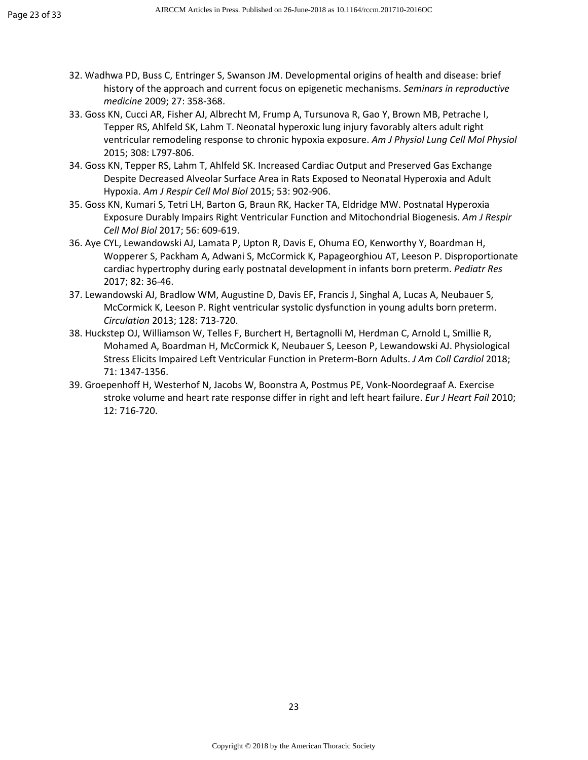- 32. Wadhwa PD, Buss C, Entringer S, Swanson JM. Developmental origins of health and disease: brief history of the approach and current focus on epigenetic mechanisms. *Seminars in reproductive medicine* 2009; 27: 358-368.
- 33. Goss KN, Cucci AR, Fisher AJ, Albrecht M, Frump A, Tursunova R, Gao Y, Brown MB, Petrache I, Tepper RS, Ahlfeld SK, Lahm T. Neonatal hyperoxic lung injury favorably alters adult right ventricular remodeling response to chronic hypoxia exposure. *Am J Physiol Lung Cell Mol Physiol*  2015; 308: L797-806.
- 34. Goss KN, Tepper RS, Lahm T, Ahlfeld SK. Increased Cardiac Output and Preserved Gas Exchange Despite Decreased Alveolar Surface Area in Rats Exposed to Neonatal Hyperoxia and Adult Hypoxia. *Am J Respir Cell Mol Biol* 2015; 53: 902-906.
- 35. Goss KN, Kumari S, Tetri LH, Barton G, Braun RK, Hacker TA, Eldridge MW. Postnatal Hyperoxia Exposure Durably Impairs Right Ventricular Function and Mitochondrial Biogenesis. *Am J Respir Cell Mol Biol* 2017; 56: 609-619.
- 36. Aye CYL, Lewandowski AJ, Lamata P, Upton R, Davis E, Ohuma EO, Kenworthy Y, Boardman H, Wopperer S, Packham A, Adwani S, McCormick K, Papageorghiou AT, Leeson P. Disproportionate cardiac hypertrophy during early postnatal development in infants born preterm. *Pediatr Res*  2017; 82: 36-46.
- 37. Lewandowski AJ, Bradlow WM, Augustine D, Davis EF, Francis J, Singhal A, Lucas A, Neubauer S, McCormick K, Leeson P. Right ventricular systolic dysfunction in young adults born preterm. *Circulation* 2013; 128: 713-720.
- 38. Huckstep OJ, Williamson W, Telles F, Burchert H, Bertagnolli M, Herdman C, Arnold L, Smillie R, Mohamed A, Boardman H, McCormick K, Neubauer S, Leeson P, Lewandowski AJ. Physiological Stress Elicits Impaired Left Ventricular Function in Preterm-Born Adults. *J Am Coll Cardiol* 2018; 71: 1347-1356.
- 39. Groepenhoff H, Westerhof N, Jacobs W, Boonstra A, Postmus PE, Vonk-Noordegraaf A. Exercise stroke volume and heart rate response differ in right and left heart failure. *Eur J Heart Fail* 2010; 12: 716-720.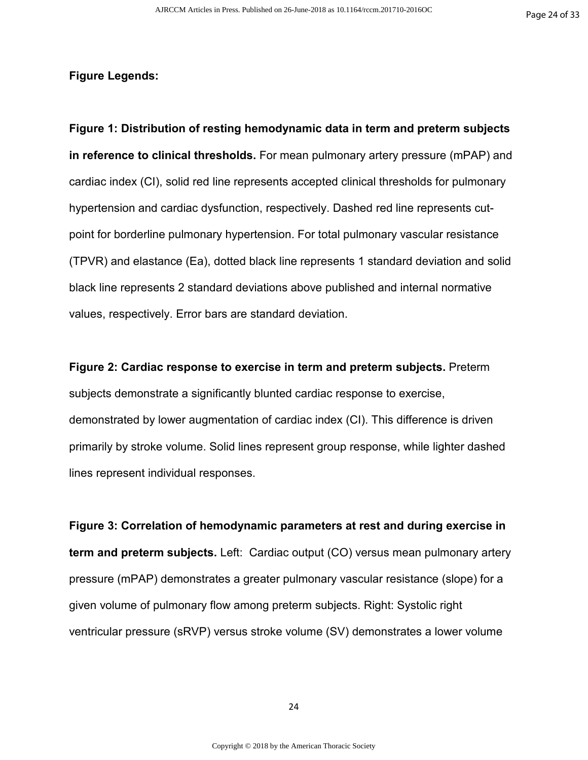#### **Figure Legends:**

**Figure 1: Distribution of resting hemodynamic data in term and preterm subjects in reference to clinical thresholds.** For mean pulmonary artery pressure (mPAP) and cardiac index (CI), solid red line represents accepted clinical thresholds for pulmonary hypertension and cardiac dysfunction, respectively. Dashed red line represents cutpoint for borderline pulmonary hypertension. For total pulmonary vascular resistance (TPVR) and elastance (Ea), dotted black line represents 1 standard deviation and solid black line represents 2 standard deviations above published and internal normative values, respectively. Error bars are standard deviation.

**Figure 2: Cardiac response to exercise in term and preterm subjects.** Preterm subjects demonstrate a significantly blunted cardiac response to exercise, demonstrated by lower augmentation of cardiac index (CI). This difference is driven primarily by stroke volume. Solid lines represent group response, while lighter dashed lines represent individual responses.

**Figure 3: Correlation of hemodynamic parameters at rest and during exercise in term and preterm subjects.** Left: Cardiac output (CO) versus mean pulmonary artery pressure (mPAP) demonstrates a greater pulmonary vascular resistance (slope) for a given volume of pulmonary flow among preterm subjects. Right: Systolic right ventricular pressure (sRVP) versus stroke volume (SV) demonstrates a lower volume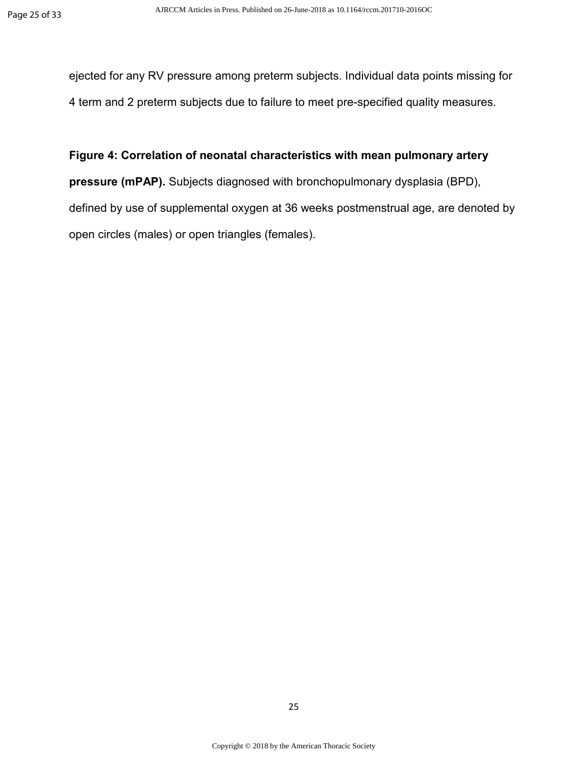ejected for any RV pressure among preterm subjects. Individual data points missing for 4 term and 2 preterm subjects due to failure to meet pre-specified quality measures.

**Figure 4: Correlation of neonatal characteristics with mean pulmonary artery pressure (mPAP).** Subjects diagnosed with bronchopulmonary dysplasia (BPD), defined by use of supplemental oxygen at 36 weeks postmenstrual age, are denoted by open circles (males) or open triangles (females).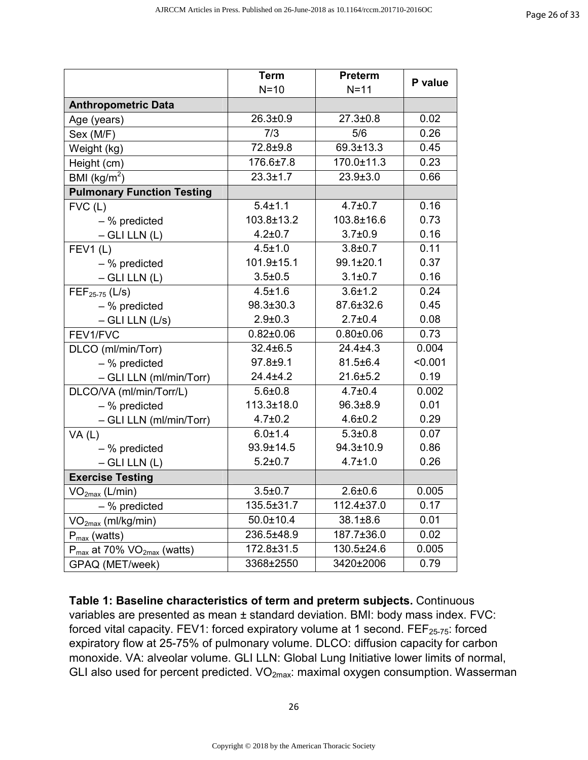|                                             | <b>Term</b>     | <b>Preterm</b>  | P value |  |
|---------------------------------------------|-----------------|-----------------|---------|--|
|                                             | $N=10$          | $N=11$          |         |  |
| <b>Anthropometric Data</b>                  |                 |                 |         |  |
| Age (years)                                 | $26.3 \pm 0.9$  | $27.3 \pm 0.8$  | 0.02    |  |
| Sex (M/F)                                   | 7/3             | 5/6             | 0.26    |  |
| Weight (kg)                                 | 72.8±9.8        | 69.3±13.3       | 0.45    |  |
| Height (cm)                                 | 176.6±7.8       | 170.0±11.3      | 0.23    |  |
| BMI ( $kg/m2$ )                             | $23.3 \pm 1.7$  | $23.9 \pm 3.0$  | 0.66    |  |
| <b>Pulmonary Function Testing</b>           |                 |                 |         |  |
| $FVC$ (L)                                   | $5.4 \pm 1.1$   | $4.7 \pm 0.7$   | 0.16    |  |
| $-$ % predicted                             | 103.8±13.2      | 103.8±16.6      | 0.73    |  |
| $-$ GLI LLN $(L)$                           | $4.2 \pm 0.7$   | $3.7 \pm 0.9$   | 0.16    |  |
| FEV1(L)                                     | $4.5 \pm 1.0$   | $3.8 + 0.7$     | 0.11    |  |
| $-$ % predicted                             | 101.9±15.1      | 99.1±20.1       | 0.37    |  |
| $-$ GLI LLN $(L)$                           | $3.5 + 0.5$     | $3.1 \pm 0.7$   | 0.16    |  |
| $FEF_{25-75}$ (L/s)                         | $4.5 \pm 1.6$   | $3.6 + 1.2$     | 0.24    |  |
| $-$ % predicted                             | 98.3±30.3       | 87.6±32.6       | 0.45    |  |
| $-$ GLI LLN (L/s)                           | $2.9 + 0.3$     | $2.7 \pm 0.4$   | 0.08    |  |
| FEV1/FVC                                    | $0.82{\pm}0.06$ | $0.80 \pm 0.06$ | 0.73    |  |
| DLCO (ml/min/Torr)                          | $32.4 \pm 6.5$  | $24.4 \pm 4.3$  | 0.004   |  |
| $-$ % predicted                             | 97.8±9.1        | $81.5 \pm 6.4$  | < 0.001 |  |
| - GLI LLN (ml/min/Torr)                     | $24.4 \pm 4.2$  | $21.6 \pm 5.2$  | 0.19    |  |
| DLCO/VA (ml/min/Torr/L)                     | $5.6 + 0.8$     | $4.7 \pm 0.4$   | 0.002   |  |
| $-$ % predicted                             | 113.3±18.0      | $96.3 \pm 8.9$  | 0.01    |  |
| - GLI LLN (ml/min/Torr)                     | $4.7 \pm 0.2$   | $4.6 \pm 0.2$   | 0.29    |  |
| VA(L)                                       | $6.0 \pm 1.4$   | $5.3 \pm 0.8$   | 0.07    |  |
| $-$ % predicted                             | 93.9±14.5       | 94.3±10.9       | 0.86    |  |
| $-$ GLI LLN $(L)$                           | $5.2 \pm 0.7$   | $4.7 \pm 1.0$   | 0.26    |  |
| <b>Exercise Testing</b>                     |                 |                 |         |  |
| VO <sub>2max</sub> (L/min)                  | $3.5 + 0.7$     | $2.6 + 0.6$     | 0.005   |  |
| $-$ % predicted                             | 135.5±31.7      | 112.4±37.0      | 0.17    |  |
| VO <sub>2max</sub> (ml/kg/min)              | $50.0 \pm 10.4$ | 38.1±8.6        | 0.01    |  |
| $P_{max}$ (watts)                           | 236.5±48.9      | 187.7±36.0      | 0.02    |  |
| $P_{max}$ at 70% VO <sub>2max</sub> (watts) | 172.8±31.5      | 130.5±24.6      | 0.005   |  |
| GPAQ (MET/week)                             | 3368±2550       | 3420±2006       | 0.79    |  |

**Table 1: Baseline characteristics of term and preterm subjects.** Continuous variables are presented as mean ± standard deviation. BMI: body mass index. FVC: forced vital capacity. FEV1: forced expiratory volume at 1 second. FEF<sub>25-75</sub>: forced expiratory flow at 25-75% of pulmonary volume. DLCO: diffusion capacity for carbon monoxide. VA: alveolar volume. GLI LLN: Global Lung Initiative lower limits of normal, GLI also used for percent predicted.  $VO<sub>2max</sub>$ : maximal oxygen consumption. Wasserman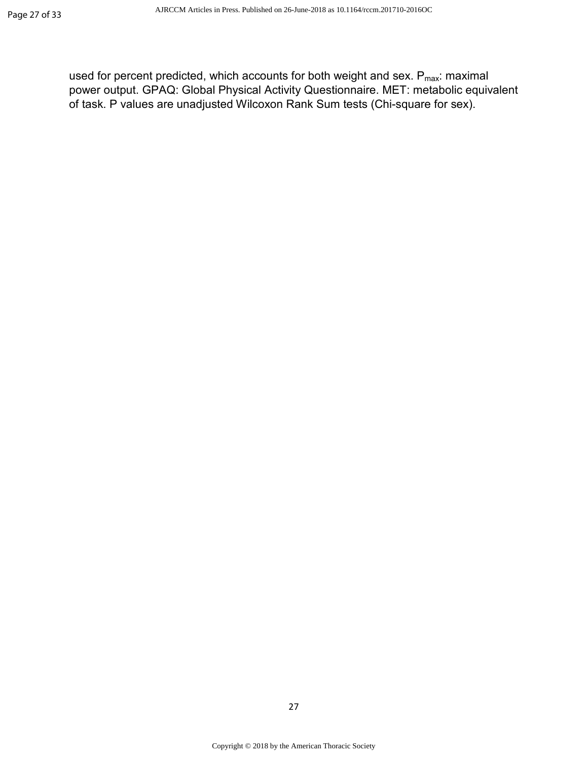used for percent predicted, which accounts for both weight and sex.  $P_{max}$ : maximal power output. GPAQ: Global Physical Activity Questionnaire. MET: metabolic equivalent of task. P values are unadjusted Wilcoxon Rank Sum tests (Chi-square for sex).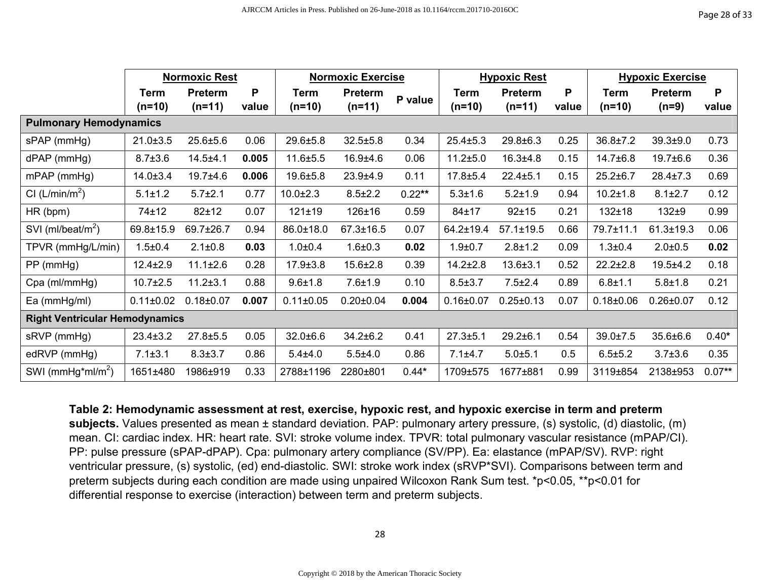|                                       | <b>Normoxic Rest</b> |                | <b>Normoxic Exercise</b> |                 | <b>Hypoxic Rest</b> |           | <b>Hypoxic Exercise</b> |                 |       |                 |                 |          |
|---------------------------------------|----------------------|----------------|--------------------------|-----------------|---------------------|-----------|-------------------------|-----------------|-------|-----------------|-----------------|----------|
|                                       | <b>Term</b>          | <b>Preterm</b> | P                        | <b>Term</b>     | <b>Preterm</b>      | P value   | Term                    | <b>Preterm</b>  | P     | <b>Term</b>     | <b>Preterm</b>  | P        |
|                                       | $(n=10)$             | $(n=11)$       | value                    | $(n=10)$        | $(n=11)$            |           | $(n=10)$                | $(n=11)$        | value | $(n=10)$        | $(n=9)$         | value    |
| <b>Pulmonary Hemodynamics</b>         |                      |                |                          |                 |                     |           |                         |                 |       |                 |                 |          |
| sPAP (mmHg)                           | $21.0 \pm 3.5$       | $25.6 + 5.6$   | 0.06                     | 29.6±5.8        | $32.5 \pm 5.8$      | 0.34      | $25.4 \pm 5.3$          | 29.8±6.3        | 0.25  | $36.8 \pm 7.2$  | $39.3 + 9.0$    | 0.73     |
| dPAP (mmHg)                           | $8.7 \pm 3.6$        | $14.5 + 4.1$   | 0.005                    | $11.6 + 5.5$    | $16.9 + 4.6$        | 0.06      | $11.2 + 5.0$            | $16.3 + 4.8$    | 0.15  | $14.7 \pm 6.8$  | $19.7 \pm 6.6$  | 0.36     |
| $mPAP$ ( $mmHg$ )                     | $14.0 \pm 3.4$       | 19.7±4.6       | 0.006                    | $19.6 + 5.8$    | $23.9 + 4.9$        | 0.11      | $17.8 + 5.4$            | $22.4 \pm 5.1$  | 0.15  | $25.2 \pm 6.7$  | $28.4 \pm 7.3$  | 0.69     |
| CI (L/min/m <sup>2</sup> )            | $5.1 \pm 1.2$        | $5.7 + 2.1$    | 0.77                     | $10.0 + 2.3$    | $8.5 \pm 2.2$       | $0.22***$ | $5.3 + 1.6$             | $5.2 \pm 1.9$   | 0.94  | $10.2 \pm 1.8$  | $8.1 \pm 2.7$   | 0.12     |
| HR (bpm)                              | 74±12                | $82 + 12$      | 0.07                     | $121 \pm 19$    | $126 + 16$          | 0.59      | $84 + 17$               | $92 + 15$       | 0.21  | $132 + 18$      | $132+9$         | 0.99     |
| SVI (ml/beat/m <sup>2</sup> )         | 69.8±15.9            | 69.7±26.7      | 0.94                     | 86.0±18.0       | $67.3 \pm 16.5$     | 0.07      | 64.2±19.4               | $57.1 \pm 19.5$ | 0.66  | 79.7±11.1       | $61.3 \pm 19.3$ | 0.06     |
| TPVR (mmHg/L/min)                     | $1.5 + 0.4$          | $2.1 \pm 0.8$  | 0.03                     | $1.0 + 0.4$     | $1.6 + 0.3$         | 0.02      | $1.9 + 0.7$             | $2.8 + 1.2$     | 0.09  | $1.3 + 0.4$     | $2.0 + 0.5$     | 0.02     |
| $PP$ (mmHg)                           | $12.4 \pm 2.9$       | $11.1 \pm 2.6$ | 0.28                     | $17.9 \pm 3.8$  | $15.6 \pm 2.8$      | 0.39      | $14.2 \pm 2.8$          | $13.6 + 3.1$    | 0.52  | $22.2 \pm 2.8$  | $19.5 + 4.2$    | 0.18     |
| Cpa (ml/mmHg)                         | $10.7 \pm 2.5$       | $11.2 \pm 3.1$ | 0.88                     | $9.6 + 1.8$     | $7.6 + 1.9$         | 0.10      | $8.5 \pm 3.7$           | $7.5 + 2.4$     | 0.89  | $6.8 + 1.1$     | $5.8 + 1.8$     | 0.21     |
| Ea (mmHg/ml)                          | $0.11 \pm 0.02$      | $0.18 + 0.07$  | 0.007                    | $0.11 \pm 0.05$ | $0.20 \pm 0.04$     | 0.004     | $0.16 \pm 0.07$         | $0.25 \pm 0.13$ | 0.07  | $0.18 \pm 0.06$ | $0.26 \pm 0.07$ | 0.12     |
| <b>Right Ventricular Hemodynamics</b> |                      |                |                          |                 |                     |           |                         |                 |       |                 |                 |          |
| sRVP (mmHg)                           | $23.4 \pm 3.2$       | $27.8 + 5.5$   | 0.05                     | $32.0 + 6.6$    | $34.2 \pm 6.2$      | 0.41      | $27.3 + 5.1$            | $29.2 \pm 6.1$  | 0.54  | $39.0 \pm 7.5$  | 35.6±6.6        | $0.40*$  |
| edRVP (mmHg)                          | $7.1 \pm 3.1$        | $8.3 \pm 3.7$  | 0.86                     | $5.4 + 4.0$     | $5.5 + 4.0$         | 0.86      | $7.1 \pm 4.7$           | $5.0 + 5.1$     | 0.5   | $6.5 + 5.2$     | $3.7 + 3.6$     | 0.35     |
| SWI (mmHg*ml/m <sup>2</sup> )         | 1651±480             | 1986±919       | 0.33                     | 2788±1196       | 2280±801            | $0.44*$   | 1709±575                | 1677±881        | 0.99  | 3119±854        | 2138±953        | $0.07**$ |

**Table 2: Hemodynamic assessment at rest, exercise, hypoxic rest, and hypoxic exercise in term and preterm** 

 **subjects.** Values presented as mean ± standard deviation. PAP: pulmonary artery pressure, (s) systolic, (d) diastolic, (m) mean. CI: cardiac index. HR: heart rate. SVI: stroke volume index. TPVR: total pulmonary vascular resistance (mPAP/CI). PP: pulse pressure (sPAP-dPAP). Cpa: pulmonary artery compliance (SV/PP). Ea: elastance (mPAP/SV). RVP: right ventricular pressure, (s) systolic, (ed) end-diastolic. SWI: stroke work index (sRVP\*SVI). Comparisons between term and preterm subjects during each condition are made using unpaired Wilcoxon Rank Sum test. \*p<0.05, \*\*p<0.01 for differential response to exercise (interaction) between term and preterm subjects.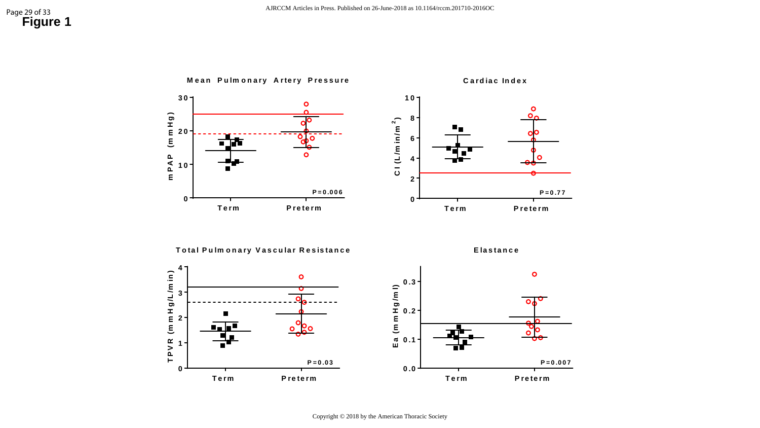# Page 29 of 33<br>**Figure 1**

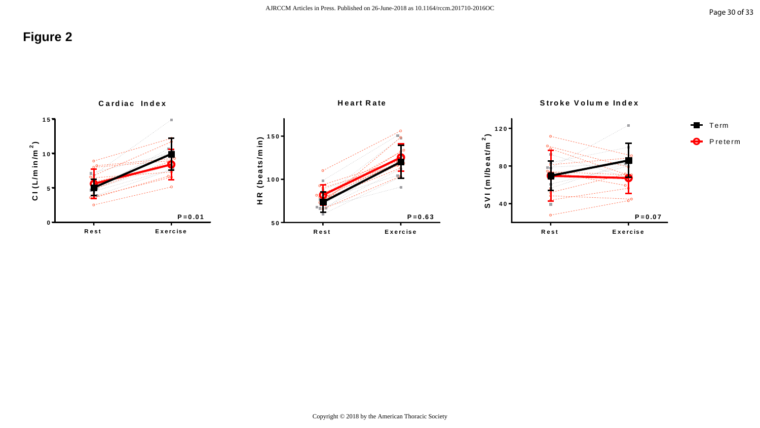# **Figure 2**

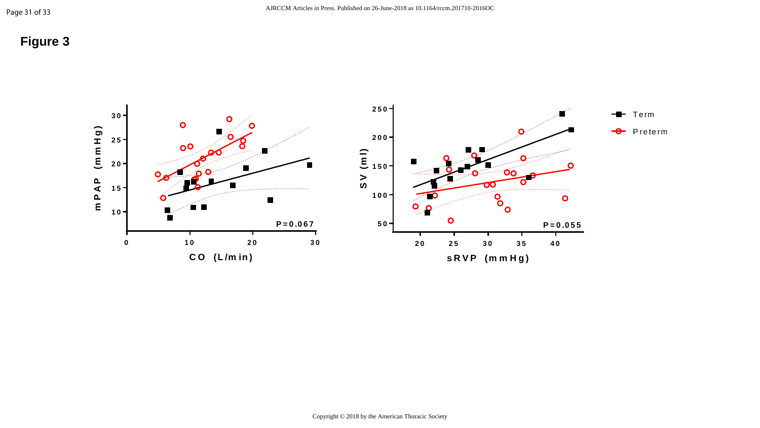# **Figure 3**

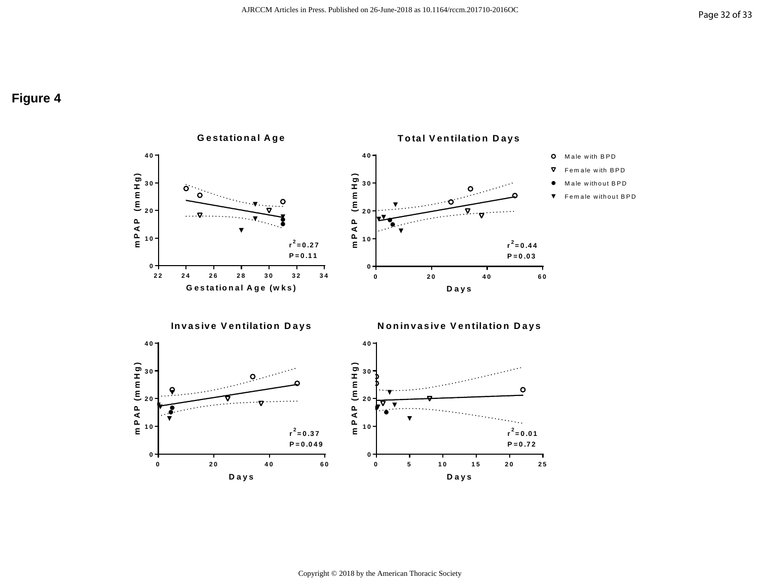# **Figure 4**



Copyright © 2018 by the American Thoracic Society